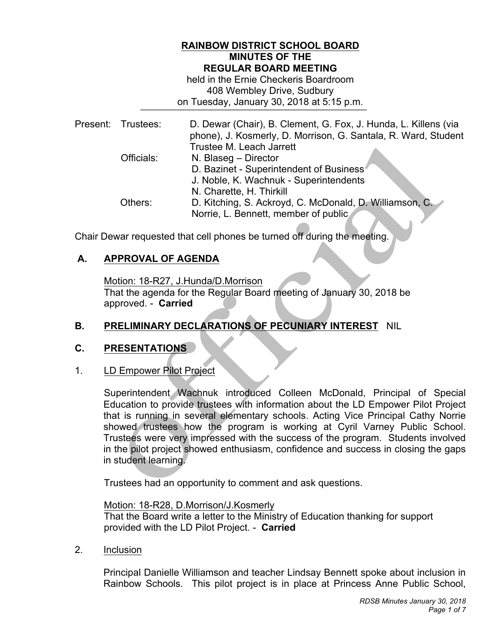## **RAINBOW DISTRICT SCHOOL BOARD MINUTES OF THE REGULAR BOARD MEETING**

 408 Wembley Drive, Sudbury on Tuesday, January 30, 2018 at 5:15 p.m. held in the Ernie Checkeris Boardroom

| Present: Trustees: | D. Dewar (Chair), B. Clement, G. Fox, J. Hunda, L. Killens (via<br>phone), J. Kosmerly, D. Morrison, G. Santala, R. Ward, Student |
|--------------------|-----------------------------------------------------------------------------------------------------------------------------------|
|                    | Trustee M. Leach Jarrett                                                                                                          |
| Officials:         | N. Blaseg - Director                                                                                                              |
|                    | D. Bazinet - Superintendent of Business                                                                                           |
|                    | J. Noble, K. Wachnuk - Superintendents                                                                                            |
|                    | N. Charette, H. Thirkill                                                                                                          |
| Others:            | D. Kitching, S. Ackroyd, C. McDonald, D. Williamson, C.                                                                           |
|                    | Norrie, L. Bennett, member of public                                                                                              |

Chair Dewar requested that cell phones be turned off during the meeting.

## **A. APPROVAL OF AGENDA**

 Motion: 18-R27, J.Hunda/D.Morrison approved. - **Carried**  That the agenda for the Regular Board meeting of January 30, 2018 be

# **B. PRELIMINARY DECLARATIONS OF PECUNIARY INTEREST** NIL

## **C. PRESENTATIONS**

#### $1<sub>1</sub>$ 1. LD Empower Pilot Project

 Education to provide trustees with information about the LD Empower Pilot Project that is running in several elementary schools. Acting Vice Principal Cathy Norrie showed trustees how the program is working at Cyril Varney Public School. Trustees were very impressed with the success of the program. Students involved in the pilot project showed enthusiasm, confidence and success in closing the gaps in student learning. Superintendent Wachnuk introduced Colleen McDonald, Principal of Special

Trustees had an opportunity to comment and ask questions.

 provided with the LD Pilot Project. - **Carried**  Motion: 18-R28, D.Morrison/J.Kosmerly That the Board write a letter to the Ministry of Education thanking for support

2. Inclusion

 Principal Danielle Williamson and teacher Lindsay Bennett spoke about inclusion in Rainbow Schools. This pilot project is in place at Princess Anne Public School,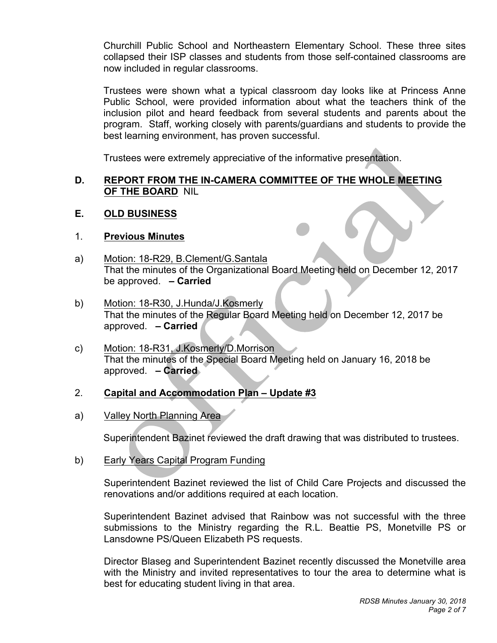Churchill Public School and Northeastern Elementary School. These three sites collapsed their ISP classes and students from those self-contained classrooms are now included in regular classrooms.

 Trustees were shown what a typical classroom day looks like at Princess Anne Public School, were provided information about what the teachers think of the inclusion pilot and heard feedback from several students and parents about the program. Staff, working closely with parents/guardians and students to provide the best learning environment, has proven successful.

Í

Trustees were extremely appreciative of the informative presentation.

## **D. REPORT FROM THE IN-CAMERA COMMITTEE OF THE WHOLE MEETING OF THE BOARD** NIL

#### **E. OLD BUSINESS**

## 1. **Previous Minutes**

- That the minutes of the Organizational Board Meeting held on December 12, 2017 a) Motion: 18-R29, B.Clement/G.Santala be approved. **– Carried**
- b) Motion: 18-R30, J.Hunda/J.Kosmerly That the minutes of the Regular Board Meeting held on December 12, 2017 be approved. **– Carried**
- c) Motion: 18-R31, J.Kosmerly/D.Morrison That the minutes of the Special Board Meeting held on January 16, 2018 be approved. **– Carried**

## 2. **Capital and Accommodation Plan – Update #3**

a) Valley North Planning Area

Superintendent Bazinet reviewed the draft drawing that was distributed to trustees.

b) **Early Years Capital Program Funding** 

> Superintendent Bazinet reviewed the list of Child Care Projects and discussed the renovations and/or additions required at each location.

> Superintendent Bazinet advised that Rainbow was not successful with the three submissions to the Ministry regarding the R.L. Beattie PS, Monetville PS or Lansdowne PS/Queen Elizabeth PS requests.

> Director Blaseg and Superintendent Bazinet recently discussed the Monetville area with the Ministry and invited representatives to tour the area to determine what is best for educating student living in that area.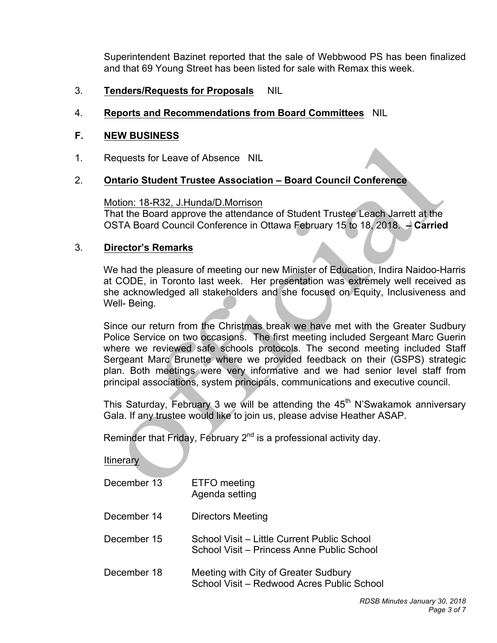Superintendent Bazinet reported that the sale of Webbwood PS has been finalized and that 69 Young Street has been listed for sale with Remax this week.

 3. **Tenders/Requests for Proposals** NIL

## 4. **Reports and Recommendations from Board Committees** NIL

#### $F_{\perp}$ **F. NEW BUSINESS**

 Requests for Leave of Absence NIL 1.

#### **Ontario Student Trustee Association – Board Council Conference**  2.

 Motion: 18-R32, J.Hunda/D.Morrison OSTA Board Council Conference in Ottawa February 15 to 18, 2018. **– Carried**  That the Board approve the attendance of Student Trustee Leach Jarrett at the

#### 3. **Director's Remarks**

 We had the pleasure of meeting our new Minister of Education, Indira Naidoo-Harris at CODE, in Toronto last week. Her presentation was extremely well received as she acknowledged all stakeholders and she focused on Equity, Inclusiveness and Well- Being.

 Since our return from the Christmas break we have met with the Greater Sudbury Police Service on two occasions. The first meeting included Sergeant Marc Guerin where we reviewed safe schools protocols. The second meeting included Staff Sergeant Marc Brunette where we provided feedback on their (GSPS) strategic plan. Both meetings were very informative and we had senior level staff from principal associations, system principals, communications and executive council.

This Saturday, February 3 we will be attending the  $45<sup>th</sup>$  N'Swakamok anniversary Gala. If any trustee would like to join us, please advise Heather ASAP.

Reminder that Friday, February 2<sup>nd</sup> is a professional activity day.

**Itinerary** 

| December 13 | ETFO meeting<br>Agenda setting                                                            |
|-------------|-------------------------------------------------------------------------------------------|
| December 14 | <b>Directors Meeting</b>                                                                  |
| December 15 | School Visit – Little Current Public School<br>School Visit – Princess Anne Public School |
| December 18 | Meeting with City of Greater Sudbury<br>School Visit - Redwood Acres Public School        |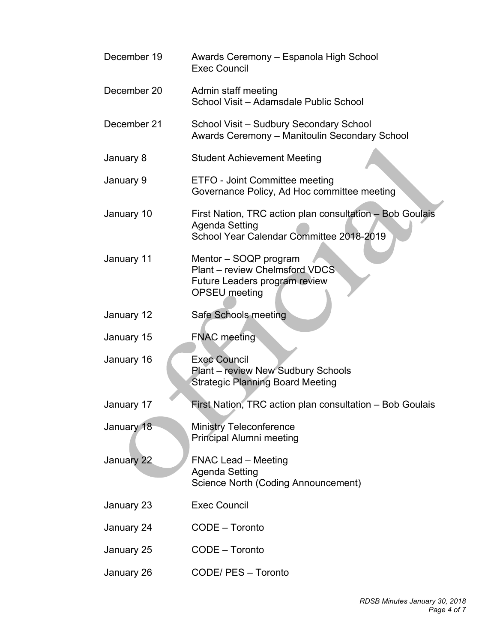| December 19 | Awards Ceremony - Espanola High School<br><b>Exec Council</b>                                                          |
|-------------|------------------------------------------------------------------------------------------------------------------------|
| December 20 | Admin staff meeting<br>School Visit - Adamsdale Public School                                                          |
| December 21 | School Visit - Sudbury Secondary School<br>Awards Ceremony - Manitoulin Secondary School                               |
| January 8   | <b>Student Achievement Meeting</b>                                                                                     |
| January 9   | ETFO - Joint Committee meeting<br>Governance Policy, Ad Hoc committee meeting                                          |
| January 10  | First Nation, TRC action plan consultation - Bob Goulais<br>Agenda Setting<br>School Year Calendar Committee 2018-2019 |
| January 11  | Mentor – SOQP program<br>Plant - review Chelmsford VDCS<br>Future Leaders program review<br>OPSEU meeting              |
| January 12  | Safe Schools meeting                                                                                                   |
| January 15  | <b>FNAC</b> meeting                                                                                                    |
| January 16  | <b>Exec Council</b><br>Plant - review New Sudbury Schools<br><b>Strategic Planning Board Meeting</b>                   |
| January 17  | First Nation, TRC action plan consultation - Bob Goulais                                                               |
| January 18  | <b>Ministry Teleconference</b><br>Principal Alumni meeting                                                             |
| January 22  | <b>FNAC Lead – Meeting</b><br>Agenda Setting<br>Science North (Coding Announcement)                                    |
| January 23  | <b>Exec Council</b>                                                                                                    |
| January 24  | CODE - Toronto                                                                                                         |
| January 25  | CODE - Toronto                                                                                                         |
| January 26  | CODE/ PES - Toronto                                                                                                    |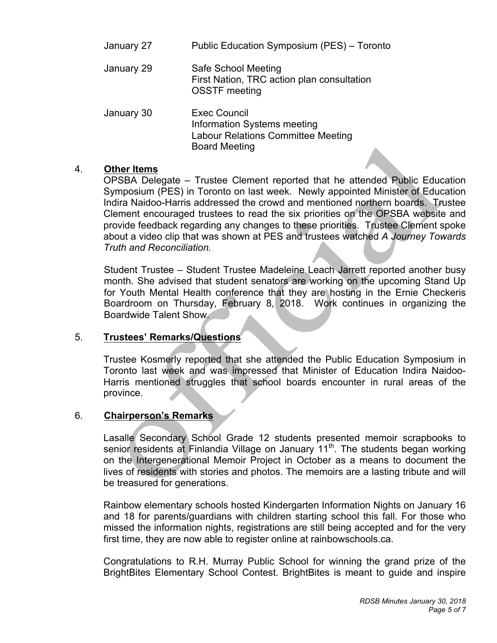| January 27 | Public Education Symposium (PES) - Toronto                                                                       |  |
|------------|------------------------------------------------------------------------------------------------------------------|--|
| January 29 | Safe School Meeting<br>First Nation, TRC action plan consultation<br><b>OSSTF</b> meeting                        |  |
| January 30 | <b>Exec Council</b><br>Information Systems meeting<br>Labour Relations Committee Meeting<br><b>Board Meeting</b> |  |

## 4. **Other Items**

 OPSBA Delegate – Trustee Clement reported that he attended Public Education Symposium (PES) in Toronto on last week. Newly appointed Minister of Education Indira Naidoo-Harris addressed the crowd and mentioned northern boards. Trustee Clement encouraged trustees to read the six priorities on the OPSBA website and provide feedback regarding any changes to these priorities. Trustee Clement spoke about a video clip that was shown at PES and trustees watched *A Journey Towards Truth and Reconciliation.* 

 Student Trustee – Student Trustee Madeleine Leach Jarrett reported another busy month. She advised that student senators are working on the upcoming Stand Up for Youth Mental Health conference that they are hosting in the Ernie Checkeris Boardroom on Thursday, February 8, 2018. Work continues in organizing the Boardwide Talent Show.

### $5<sup>1</sup>$ 5. **Trustees' Remarks/Questions**

 Trustee Kosmerly reported that she attended the Public Education Symposium in Toronto last week and was impressed that Minister of Education Indira Naidoo- Harris mentioned struggles that school boards encounter in rural areas of the province.

## province. 6. **Chairperson's Remarks**

 Lasalle Secondary School Grade 12 students presented memoir scrapbooks to senior residents at Finlandia Village on January 11<sup>th</sup>. The students began working on the Intergenerational Memoir Project in October as a means to document the lives of residents with stories and photos. The memoirs are a lasting tribute and will be treasured for generations.

 Rainbow elementary schools hosted Kindergarten Information Nights on January 16 and 18 for parents/guardians with children starting school this fall. For those who missed the information nights, registrations are still being accepted and for the very first time, they are now able to register online at rainbowschools.ca.

 Congratulations to R.H. Murray Public School for winning the grand prize of the BrightBites Elementary School Contest. BrightBites is meant to guide and inspire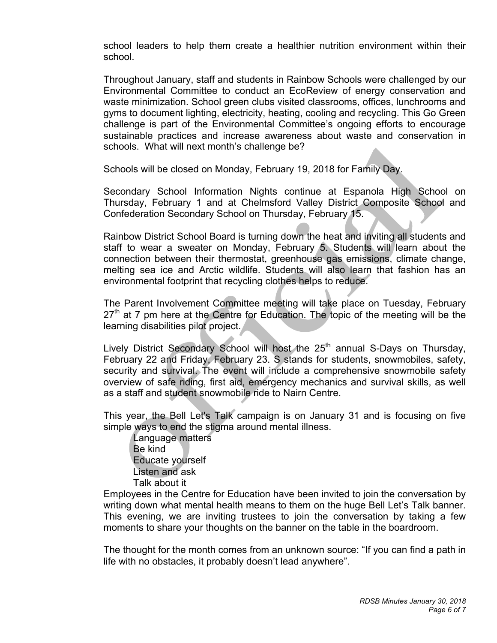school leaders to help them create a healthier nutrition environment within their school.

school.<br>Throughout January, staff and students in Rainbow Schools were challenged by our Environmental Committee to conduct an EcoReview of energy conservation and waste minimization. School green clubs visited classrooms, offices, lunchrooms and gyms to document lighting, electricity, heating, cooling and recycling. This Go Green challenge is part of the Environmental Committee's ongoing efforts to encourage sustainable practices and increase awareness about waste and conservation in schools. What will next month's challenge be?

Schools will be closed on Monday, February 19, 2018 for Family Day.

 Secondary School Information Nights continue at Espanola High School on Thursday, February 1 and at Chelmsford Valley District Composite School and Confederation Secondary School on Thursday, February 15.

 Rainbow District School Board is turning down the heat and inviting all students and staff to wear a sweater on Monday, February 5. Students will learn about the connection between their thermostat, greenhouse gas emissions, climate change, melting sea ice and Arctic wildlife. Students will also learn that fashion has an environmental footprint that recycling clothes helps to reduce.

 The Parent Involvement Committee meeting will take place on Tuesday, February  $27<sup>th</sup>$  at 7 pm here at the Centre for Education. The topic of the meeting will be the learning disabilities pilot project.

Lively District Secondary School will host the 25<sup>th</sup> annual S-Days on Thursday, February 22 and Friday, February 23. S stands for students, snowmobiles, safety, security and survival. The event will include a comprehensive snowmobile safety overview of safe riding, first aid, emergency mechanics and survival skills, as well as a staff and student snowmobile ride to Nairn Centre.

 This year, the Bell Let's Talk campaign is on January 31 and is focusing on five simple ways to end the stigma around mental illness.

Language matters Be kind Educate yourself Listen and ask Talk about it

 Employees in the Centre for Education have been invited to join the conversation by writing down what mental health means to them on the huge Bell Let's Talk banner. This evening, we are inviting trustees to join the conversation by taking a few moments to share your thoughts on the banner on the table in the boardroom.

 The thought for the month comes from an unknown source: "If you can find a path in life with no obstacles, it probably doesn't lead anywhere".